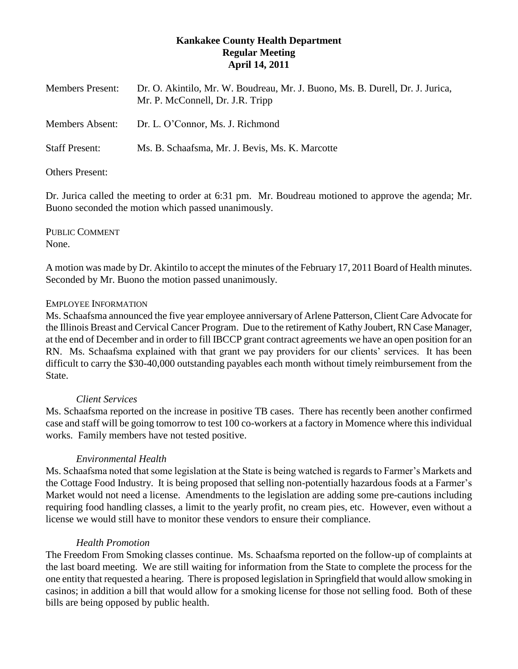# **Kankakee County Health Department Regular Meeting April 14, 2011**

| <b>Members Present:</b> | Dr. O. Akintilo, Mr. W. Boudreau, Mr. J. Buono, Ms. B. Durell, Dr. J. Jurica,<br>Mr. P. McConnell, Dr. J.R. Tripp |
|-------------------------|-------------------------------------------------------------------------------------------------------------------|
| <b>Members Absent:</b>  | Dr. L. O'Connor, Ms. J. Richmond                                                                                  |
| <b>Staff Present:</b>   | Ms. B. Schaafsma, Mr. J. Bevis, Ms. K. Marcotte                                                                   |

### Others Present:

Dr. Jurica called the meeting to order at 6:31 pm. Mr. Boudreau motioned to approve the agenda; Mr. Buono seconded the motion which passed unanimously.

PUBLIC COMMENT None.

A motion was made by Dr. Akintilo to accept the minutes of the February 17, 2011 Board of Health minutes. Seconded by Mr. Buono the motion passed unanimously.

### EMPLOYEE INFORMATION

Ms. Schaafsma announced the five year employee anniversary of Arlene Patterson, Client Care Advocate for the Illinois Breast and Cervical Cancer Program. Due to the retirement of Kathy Joubert, RN Case Manager, at the end of December and in order to fill IBCCP grant contract agreements we have an open position for an RN. Ms. Schaafsma explained with that grant we pay providers for our clients' services. It has been difficult to carry the \$30-40,000 outstanding payables each month without timely reimbursement from the State.

# *Client Services*

Ms. Schaafsma reported on the increase in positive TB cases. There has recently been another confirmed case and staff will be going tomorrow to test 100 co-workers at a factory in Momence where this individual works. Family members have not tested positive.

# *Environmental Health*

Ms. Schaafsma noted that some legislation at the State is being watched is regards to Farmer's Markets and the Cottage Food Industry. It is being proposed that selling non-potentially hazardous foods at a Farmer's Market would not need a license. Amendments to the legislation are adding some pre-cautions including requiring food handling classes, a limit to the yearly profit, no cream pies, etc. However, even without a license we would still have to monitor these vendors to ensure their compliance.

# *Health Promotion*

The Freedom From Smoking classes continue. Ms. Schaafsma reported on the follow-up of complaints at the last board meeting. We are still waiting for information from the State to complete the process for the one entity that requested a hearing. There is proposed legislation in Springfield that would allow smoking in casinos; in addition a bill that would allow for a smoking license for those not selling food. Both of these bills are being opposed by public health.